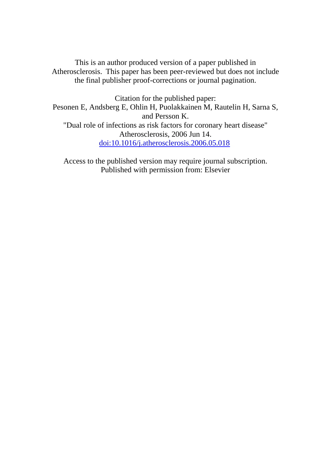This is an author produced version of a paper published in Atherosclerosis. This paper has been peer-reviewed but does not include the final publisher proof-corrections or journal pagination.

Citation for the published paper: Pesonen E, Andsberg E, Ohlin H, Puolakkainen M, Rautelin H, Sarna S, and Persson K. "Dual role of infections as risk factors for coronary heart disease" Atherosclerosis, 2006 Jun 14. doi:10.1016/j.atherosclerosis.2006.05.018

Access to the published version may require journal subscription. Published with permission from: Elsevier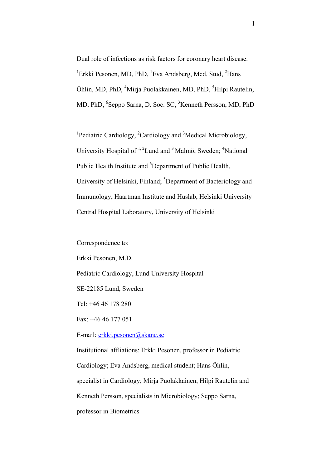Dual role of infections as risk factors for coronary heart disease. <sup>1</sup>Erkki Pesonen, MD, PhD, <sup>1</sup>Eva Andsberg, Med. Stud, <sup>2</sup>Hans Öhlin, MD, PhD, <sup>4</sup>Mirja Puolakkainen, MD, PhD, <sup>5</sup>Hilpi Rautelin, MD, PhD, <sup>6</sup>Seppo Sarna, D. Soc. SC, <sup>3</sup>Kenneth Persson, MD, PhD

<sup>1</sup>Pediatric Cardiology, <sup>2</sup>Cardiology and <sup>3</sup>Medical Microbiology, University Hospital of  $1, 2$ Lund and  $3$  Malmö, Sweden;  $4$ National Public Health Institute and <sup>6</sup>Department of Public Health, University of Helsinki, Finland; <sup>5</sup>Department of Bacteriology and Immunology, Haartman Institute and Huslab, Helsinki University Central Hospital Laboratory, University of Helsinki

Correspondence to:

Erkki Pesonen, M.D.

Pediatric Cardiology, Lund University Hospital

SE-22185 Lund, Sweden

Tel: +46 46 178 280

Fax: +46 46 177 051

E-mail: erkki.pesonen@skane.se

Institutional affliations: Erkki Pesonen, professor in Pediatric

Cardiology; Eva Andsberg, medical student; Hans Öhlin,

specialist in Cardiology; Mirja Puolakkainen, Hilpi Rautelin and

Kenneth Persson, specialists in Microbiology; Seppo Sarna,

professor in Biometrics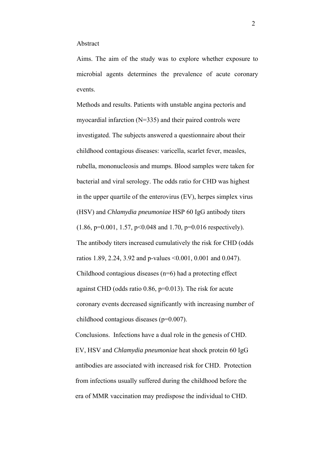#### Abstract

Aims. The aim of the study was to explore whether exposure to microbial agents determines the prevalence of acute coronary events.

Methods and results. Patients with unstable angina pectoris and myocardial infarction (N=335) and their paired controls were investigated. The subjects answered a questionnaire about their childhood contagious diseases: varicella, scarlet fever, measles, rubella, mononucleosis and mumps. Blood samples were taken for bacterial and viral serology. The odds ratio for CHD was highest in the upper quartile of the enterovirus (EV), herpes simplex virus (HSV) and *Chlamydia pneumoniae* HSP 60 IgG antibody titers (1.86, p=0.001, 1.57, p<0.048 and 1.70, p=0.016 respectively). The antibody titers increased cumulatively the risk for CHD (odds ratios 1.89, 2.24, 3.92 and p-values <0.001, 0.001 and 0.047). Childhood contagious diseases (n=6) had a protecting effect against CHD (odds ratio 0.86, p=0.013). The risk for acute coronary events decreased significantly with increasing number of childhood contagious diseases (p=0.007).

Conclusions. Infections have a dual role in the genesis of CHD. EV, HSV and *Chlamydia pneumoniae* heat shock protein 60 IgG antibodies are associated with increased risk for CHD. Protection from infections usually suffered during the childhood before the era of MMR vaccination may predispose the individual to CHD.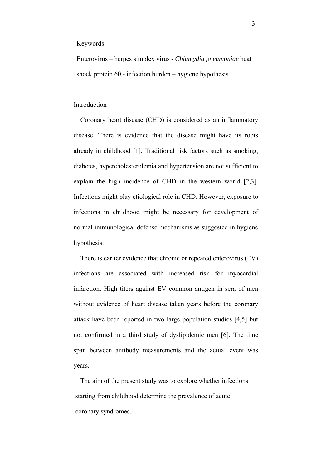#### Keywords

Enterovirus – herpes simplex virus - *Chlamydia pneumoniae* heat shock protein 60 - infection burden – hygiene hypothesis

#### Introduction

Coronary heart disease (CHD) is considered as an inflammatory disease. There is evidence that the disease might have its roots already in childhood [1]. Traditional risk factors such as smoking, diabetes, hypercholesterolemia and hypertension are not sufficient to explain the high incidence of CHD in the western world [2,3]. Infections might play etiological role in CHD. However, exposure to infections in childhood might be necessary for development of normal immunological defense mechanisms as suggested in hygiene hypothesis.

There is earlier evidence that chronic or repeated enterovirus (EV) infections are associated with increased risk for myocardial infarction. High titers against EV common antigen in sera of men without evidence of heart disease taken years before the coronary attack have been reported in two large population studies [4,5] but not confirmed in a third study of dyslipidemic men [6]. The time span between antibody measurements and the actual event was years.

The aim of the present study was to explore whether infections starting from childhood determine the prevalence of acute coronary syndromes.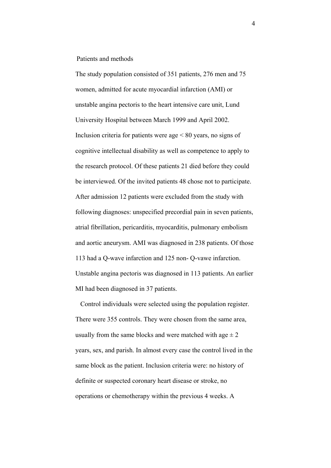Patients and methods

The study population consisted of 351 patients, 276 men and 75 women, admitted for acute myocardial infarction (AMI) or unstable angina pectoris to the heart intensive care unit, Lund University Hospital between March 1999 and April 2002. Inclusion criteria for patients were age < 80 years, no signs of cognitive intellectual disability as well as competence to apply to the research protocol. Of these patients 21 died before they could be interviewed. Of the invited patients 48 chose not to participate. After admission 12 patients were excluded from the study with following diagnoses: unspecified precordial pain in seven patients, atrial fibrillation, pericarditis, myocarditis, pulmonary embolism and aortic aneurysm. AMI was diagnosed in 238 patients. Of those 113 had a Q-wave infarction and 125 non- Q-vawe infarction. Unstable angina pectoris was diagnosed in 113 patients. An earlier MI had been diagnosed in 37 patients.

Control individuals were selected using the population register. There were 355 controls. They were chosen from the same area, usually from the same blocks and were matched with age  $\pm 2$ years, sex, and parish. In almost every case the control lived in the same block as the patient. Inclusion criteria were: no history of definite or suspected coronary heart disease or stroke, no operations or chemotherapy within the previous 4 weeks. A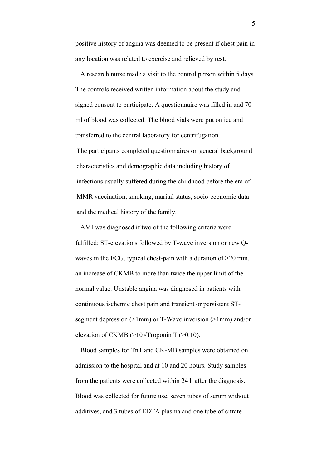positive history of angina was deemed to be present if chest pain in any location was related to exercise and relieved by rest.

A research nurse made a visit to the control person within 5 days. The controls received written information about the study and signed consent to participate. A questionnaire was filled in and 70 ml of blood was collected. The blood vials were put on ice and transferred to the central laboratory for centrifugation. The participants completed questionnaires on general background characteristics and demographic data including history of infections usually suffered during the childhood before the era of MMR vaccination, smoking, marital status, socio-economic data and the medical history of the family.

AMI was diagnosed if two of the following criteria were fulfilled: ST-elevations followed by T-wave inversion or new Qwaves in the ECG, typical chest-pain with a duration of >20 min, an increase of CKMB to more than twice the upper limit of the normal value. Unstable angina was diagnosed in patients with continuous ischemic chest pain and transient or persistent STsegment depression (>1mm) or T-Wave inversion (>1mm) and/or elevation of CKMB  $(>10)$ /Troponin T  $(>0.10)$ .

Blood samples for TnT and CK-MB samples were obtained on admission to the hospital and at 10 and 20 hours. Study samples from the patients were collected within 24 h after the diagnosis. Blood was collected for future use, seven tubes of serum without additives, and 3 tubes of EDTA plasma and one tube of citrate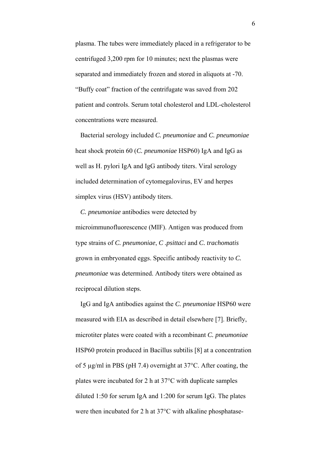plasma. The tubes were immediately placed in a refrigerator to be centrifuged 3,200 rpm for 10 minutes; next the plasmas were separated and immediately frozen and stored in aliquots at -70. "Buffy coat" fraction of the centrifugate was saved from 202 patient and controls. Serum total cholesterol and LDL-cholesterol concentrations were measured.

Bacterial serology included *C. pneumoniae* and *C. pneumoniae* heat shock protein 60 (*C. pneumoniae* HSP60) IgA and IgG as well as H. pylori IgA and IgG antibody titers. Viral serology included determination of cytomegalovirus, EV and herpes simplex virus (HSV) antibody titers.

*C. pneumoniae* antibodies were detected by microimmunofluorescence (MIF). Antigen was produced from type strains of *C. pneumoniae*, *C .psittaci* and *C. trachomatis* grown in embryonated eggs. Specific antibody reactivity to *C. pneumoniae* was determined. Antibody titers were obtained as reciprocal dilution steps.

IgG and IgA antibodies against the *C. pneumoniae* HSP60 were measured with EIA as described in detail elsewhere [7]. Briefly, microtiter plates were coated with a recombinant *C. pneumoniae* HSP60 protein produced in Bacillus subtilis [8] at a concentration of 5 µg/ml in PBS (pH 7.4) overnight at 37°C. After coating, the plates were incubated for 2 h at 37°C with duplicate samples diluted 1:50 for serum IgA and 1:200 for serum IgG. The plates were then incubated for 2 h at 37°C with alkaline phosphatase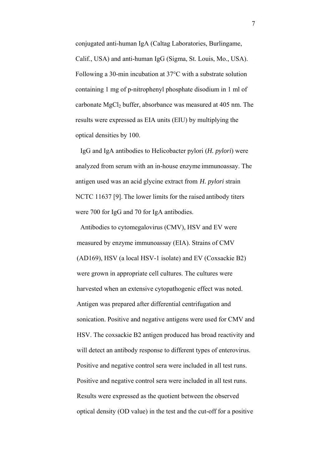conjugated anti-human IgA (Caltag Laboratories, Burlingame, Calif., USA) and anti-human IgG (Sigma, St. Louis, Mo., USA). Following a 30-min incubation at 37°C with a substrate solution containing 1 mg of p-nitrophenyl phosphate disodium in 1 ml of carbonate MgCl<sub>2</sub> buffer, absorbance was measured at 405 nm. The results were expressed as EIA units (EIU) by multiplying the optical densities by 100.

IgG and IgA antibodies to Helicobacter pylori (*H. pylori*) were analyzed from serum with an in-house enzyme immunoassay. The antigen used was an acid glycine extract from *H. pylori* strain NCTC 11637 [9]. The lower limits for the raised antibody titers were 700 for IgG and 70 for IgA antibodies.

Antibodies to cytomegalovirus (CMV), HSV and EV were measured by enzyme immunoassay (EIA). Strains of CMV (AD169), HSV (a local HSV-1 isolate) and EV (Coxsackie B2) were grown in appropriate cell cultures. The cultures were harvested when an extensive cytopathogenic effect was noted. Antigen was prepared after differential centrifugation and sonication. Positive and negative antigens were used for CMV and HSV. The coxsackie B2 antigen produced has broad reactivity and will detect an antibody response to different types of enterovirus. Positive and negative control sera were included in all test runs. Positive and negative control sera were included in all test runs. Results were expressed as the quotient between the observed optical density (OD value) in the test and the cut-off for a positive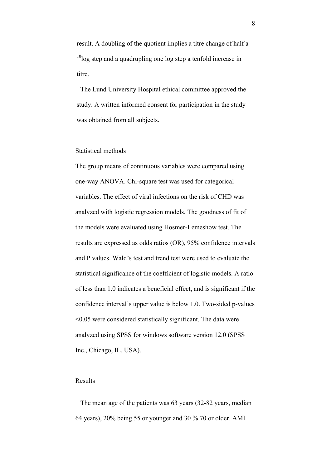result. A doubling of the quotient implies a titre change of half a  $10$ log step and a quadrupling one log step a tenfold increase in titre.

The Lund University Hospital ethical committee approved the study. A written informed consent for participation in the study was obtained from all subjects.

# Statistical methods

The group means of continuous variables were compared using one-way ANOVA. Chi-square test was used for categorical variables. The effect of viral infections on the risk of CHD was analyzed with logistic regression models. The goodness of fit of the models were evaluated using Hosmer-Lemeshow test. The results are expressed as odds ratios (OR), 95% confidence intervals and P values. Wald's test and trend test were used to evaluate the statistical significance of the coefficient of logistic models. A ratio of less than 1.0 indicates a beneficial effect, and is significant if the confidence interval's upper value is below 1.0. Two-sided p-values <0.05 were considered statistically significant. The data were analyzed using SPSS for windows software version 12.0 (SPSS Inc., Chicago, IL, USA).

## Results

The mean age of the patients was 63 years (32-82 years, median 64 years), 20% being 55 or younger and 30 % 70 or older. AMI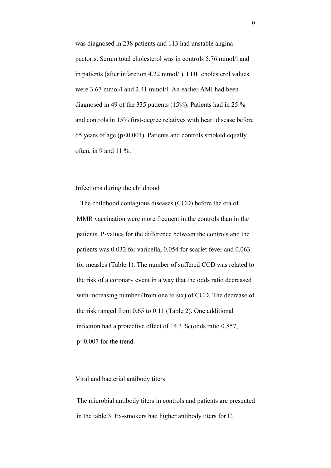was diagnosed in 238 patients and 113 had unstable angina pectoris. Serum total cholesterol was in controls 5.76 mmol/l and in patients (after infarction 4.22 mmol/l). LDL cholesterol values were 3.67 mmol/l and 2.41 mmol/l. An earlier AMI had been diagnosed in 49 of the 335 patients (15%). Patients had in 25 % and controls in 15% first-degree relatives with heart disease before 65 years of age ( $p<0.001$ ). Patients and controls smoked equally often, in 9 and 11 $\%$ .

## Infections during the childhood

The childhood contagious diseases (CCD) before the era of MMR vaccination were more frequent in the controls than in the patients. P-values for the difference between the controls and the patients was 0.032 for varicella, 0.054 for scarlet fever and 0.063 for measles (Table 1). The number of suffered CCD was related to the risk of a coronary event in a way that the odds ratio decreased with increasing number (from one to six) of CCD. The decrease of the risk ranged from 0.65 to 0.11 (Table 2). One additional infection had a protective effect of 14.3 % (odds ratio 0.857, p=0.007 for the trend.

#### Viral and bacterial antibody titers

The microbial antibody titers in controls and patients are presented in the table 3. Ex-smokers had higher antibody titers for C.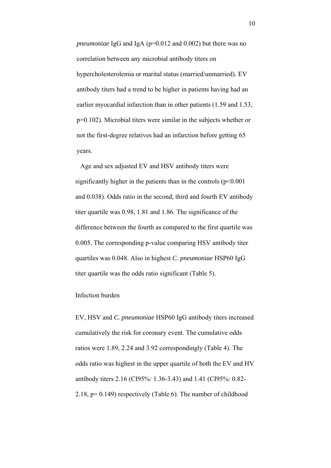*pneumoniae* IgG and IgA (p=0.012 and 0.002) but there was no correlation between any microbial antibody titers on hypercholesterolemia or marital status (married/unmarried). EV antibody titers had a trend to be higher in patients having had an earlier myocardial infarction than in other patients (1.59 and 1.53, p=0.102). Microbial titers were similar in the subjects whether or not the first-degree relatives had an infarction before getting 65 years.

Age and sex adjusted EV and HSV antibody titers were significantly higher in the patients than in the controls  $(p<0.001$ and 0.038). Odds ratio in the second, third and fourth EV antibody titer quartile was 0.98, 1.81 and 1.86. The significance of the difference between the fourth as compared to the first quartile was 0.005. The corresponding p-value comparing HSV antibody titer quartiles was 0.048. Also in highest *C. pneumoniae* HSP60 IgG titer quartile was the odds ratio significant (Table 5).

# Infection burden

EV, HSV and *C. pneumoniae* HSP60 IgG antibody titers increased cumulatively the risk for coronary event. The cumulative odds ratios were 1.89, 2.24 and 3.92 correspondingly (Table 4). The odds ratio was highest in the upper quartile of both the EV and HV antibody titers 2.16 (CI95%: 1.36-3.43) and 1.41 (CI95%: 0.82- 2.18, p= 0.149) respectively (Table 6). The number of childhood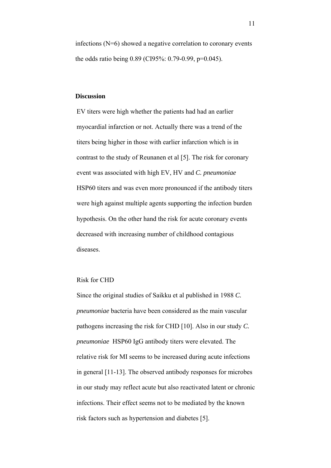infections (N=6) showed a negative correlation to coronary events the odds ratio being 0.89 (CI95%: 0.79-0.99, p=0.045).

## **Discussion**

EV titers were high whether the patients had had an earlier myocardial infarction or not. Actually there was a trend of the titers being higher in those with earlier infarction which is in contrast to the study of Reunanen et al [5]. The risk for coronary event was associated with high EV, HV and *C. pneumoniae* HSP60 titers and was even more pronounced if the antibody titers were high against multiple agents supporting the infection burden hypothesis. On the other hand the risk for acute coronary events decreased with increasing number of childhood contagious diseases.

#### Risk for CHD

Since the original studies of Saikku et al published in 1988 *C. pneumoniae* bacteria have been considered as the main vascular pathogens increasing the risk for CHD [10]. Also in our study *C. pneumoniae* HSP60 IgG antibody titers were elevated. The relative risk for MI seems to be increased during acute infections in general [11-13]. The observed antibody responses for microbes in our study may reflect acute but also reactivated latent or chronic infections. Their effect seems not to be mediated by the known risk factors such as hypertension and diabetes [5].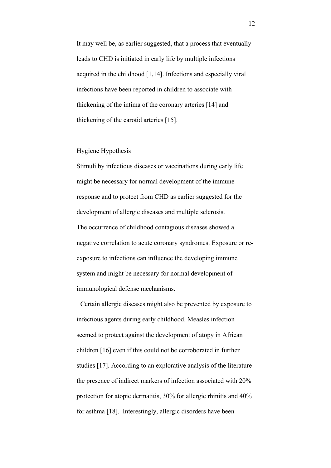It may well be, as earlier suggested, that a process that eventually leads to CHD is initiated in early life by multiple infections acquired in the childhood [1,14]. Infections and especially viral infections have been reported in children to associate with thickening of the intima of the coronary arteries [14] and thickening of the carotid arteries [15].

## Hygiene Hypothesis

Stimuli by infectious diseases or vaccinations during early life might be necessary for normal development of the immune response and to protect from CHD as earlier suggested for the development of allergic diseases and multiple sclerosis. The occurrence of childhood contagious diseases showed a negative correlation to acute coronary syndromes. Exposure or reexposure to infections can influence the developing immune system and might be necessary for normal development of immunological defense mechanisms.

Certain allergic diseases might also be prevented by exposure to infectious agents during early childhood. Measles infection seemed to protect against the development of atopy in African children [16] even if this could not be corroborated in further studies [17]. According to an explorative analysis of the literature the presence of indirect markers of infection associated with 20% protection for atopic dermatitis, 30% for allergic rhinitis and 40% for asthma [18]. Interestingly, allergic disorders have been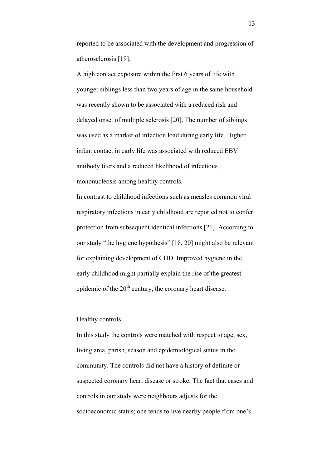reported to be associated with the development and progression of atherosclerosis [19].

A high contact exposure within the first 6 years of life with younger siblings less than two years of age in the same household was recently shown to be associated with a reduced risk and delayed onset of multiple sclerosis [20]. The number of siblings was used as a marker of infection load during early life. Higher infant contact in early life was associated with reduced EBV antibody titers and a reduced likelihood of infectious mononucleosis among healthy controls.

In contrast to childhood infections such as measles common viral respiratory infections in early childhood are reported not to confer protection from subsequent identical infections [21]. According to our study "the hygiene hypothesis" [18, 20] might also be relevant for explaining development of CHD. Improved hygiene in the early childhood might partially explain the rise of the greatest epidemic of the  $20<sup>th</sup>$  century, the coronary heart disease.

#### Healthy controls

In this study the controls were matched with respect to age, sex, living area, parish, season and epidemiological status in the community. The controls did not have a history of definite or suspected coronary heart disease or stroke. The fact that cases and controls in our study were neighbours adjusts for the socioeconomic status; one tends to live nearby people from one's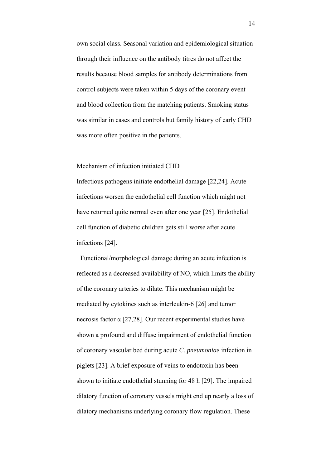own social class. Seasonal variation and epidemiological situation through their influence on the antibody titres do not affect the results because blood samples for antibody determinations from control subjects were taken within 5 days of the coronary event and blood collection from the matching patients. Smoking status was similar in cases and controls but family history of early CHD was more often positive in the patients.

# Mechanism of infection initiated CHD

Infectious pathogens initiate endothelial damage [22,24]. Acute infections worsen the endothelial cell function which might not have returned quite normal even after one year [25]. Endothelial cell function of diabetic children gets still worse after acute infections [24].

Functional/morphological damage during an acute infection is reflected as a decreased availability of NO, which limits the ability of the coronary arteries to dilate. This mechanism might be mediated by cytokines such as interleukin-6 [26] and tumor necrosis factor α [27,28]. Our recent experimental studies have shown a profound and diffuse impairment of endothelial function of coronary vascular bed during acute *C. pneumoniae* infection in piglets [23]. A brief exposure of veins to endotoxin has been shown to initiate endothelial stunning for 48 h [29]. The impaired dilatory function of coronary vessels might end up nearly a loss of dilatory mechanisms underlying coronary flow regulation. These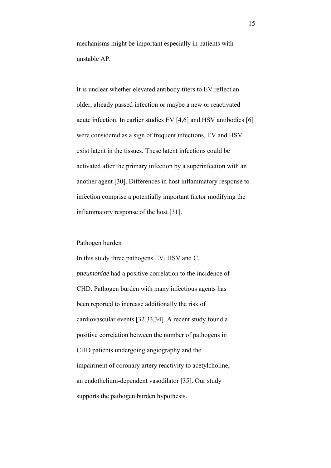mechanisms might be important especially in patients with unstable AP.

It is unclear whether elevated antibody titers to EV reflect an older, already passed infection or maybe a new or reactivated acute infection. In earlier studies EV [4,6] and HSV antibodies [6] were considered as a sign of frequent infections. EV and HSV exist latent in the tissues. These latent infections could be activated after the primary infection by a superinfection with an another agent [30]. Differences in host inflammatory response to infection comprise a potentially important factor modifying the inflammatory response of the host [31].

#### Pathogen burden

In this study three pathogens EV, HSV and C. *pneumoniae* had a positive correlation to the incidence of CHD. Pathogen burden with many infectious agents has been reported to increase additionally the risk of cardiovascular events [32,33,34]. A recent study found a positive correlation between the number of pathogens in CHD patients undergoing angiography and the impairment of coronary artery reactivity to acetylcholine, an endothelium-dependent vasodilator [35]. Our study supports the pathogen burden hypothesis.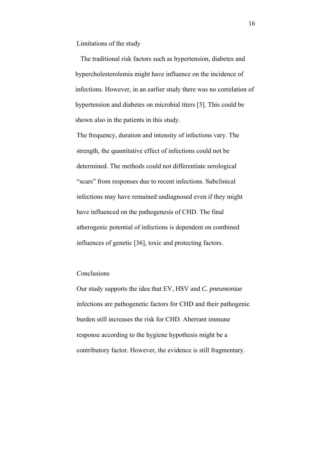Limitations of the study

The traditional risk factors such as hypertension, diabetes and hypercholesterolemia might have influence on the incidence of infections. However, in an earlier study there was no correlation of hypertension and diabetes on microbial titers [5]. This could be shown also in the patients in this study.

The frequency, duration and intensity of infections vary. The strength, the quantitative effect of infections could not be determined. The methods could not differentiate serological "scars" from responses due to recent infections. Subclinical infections may have remained undiagnosed even if they might have influenced on the pathogenesis of CHD. The final atherogenic potential of infections is dependent on combined influences of genetic [36], toxic and protecting factors.

### Conclusions

Our study supports the idea that EV, HSV and *C. pneumoniae* infections are pathogenetic factors for CHD and their pathogenic burden still increases the risk for CHD. Aberrant immune response according to the hygiene hypothesis might be a contributory factor. However, the evidence is still fragmentary.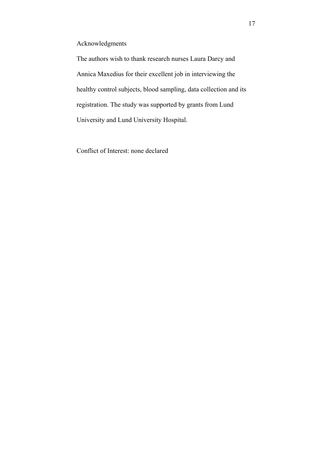# Acknowledgments

The authors wish to thank research nurses Laura Darcy and Annica Maxedius for their excellent job in interviewing the healthy control subjects, blood sampling, data collection and its registration. The study was supported by grants from Lund University and Lund University Hospital.

Conflict of Interest: none declared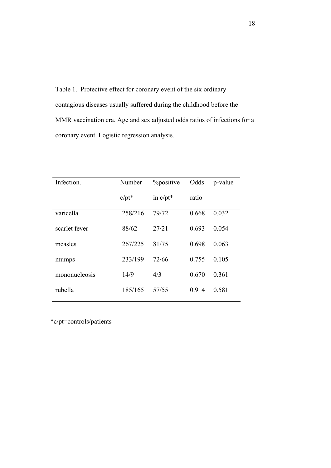Table 1. Protective effect for coronary event of the six ordinary contagious diseases usually suffered during the childhood before the MMR vaccination era. Age and sex adjusted odds ratios of infections for a coronary event. Logistic regression analysis.

| Infection.    | Number   | <i>Y</i> <sub>o</sub> positive | Odds  | p-value |
|---------------|----------|--------------------------------|-------|---------|
|               | $c/pt^*$ | in $c/pt^*$                    | ratio |         |
| varicella     | 258/216  | 79/72                          | 0.668 | 0.032   |
| scarlet fever | 88/62    | 27/21                          | 0.693 | 0.054   |
| measles       | 267/225  | 81/75                          | 0.698 | 0.063   |
| mumps         | 233/199  | 72/66                          | 0.755 | 0.105   |
| mononucleosis | 14/9     | 4/3                            | 0.670 | 0.361   |
| rubella       | 185/165  | 57/55                          | 0.914 | 0.581   |

\*c/pt=controls/patients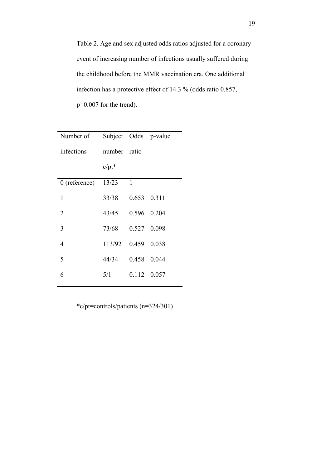Table 2. Age and sex adjusted odds ratios adjusted for a coronary event of increasing number of infections usually suffered during the childhood before the MMR vaccination era. One additional infection has a protective effect of 14.3 % (odds ratio 0.857, p=0.007 for the trend).

| Number of       |              |             | Subject Odds p-value |
|-----------------|--------------|-------------|----------------------|
| infections      | number ratio |             |                      |
|                 | $c/pt^*$     |             |                      |
| $0$ (reference) | 13/23        | 1           |                      |
| 1               | 33/38        | 0.653 0.311 |                      |
| 2               | 43/45        |             | 0.596 0.204          |
| 3               | 73/68        |             | 0.527 0.098          |
| $\overline{4}$  | 113/92       | 0.459 0.038 |                      |
| 5               | 44/34        |             | 0.458 0.044          |
| 6               | 5/1          |             | 0.112 0.057          |

\*c/pt=controls/patients (n=324/301)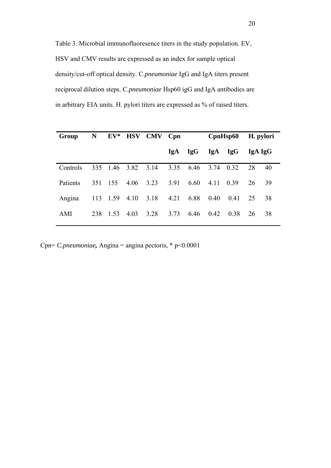Table 3. Microbial immunofluoresence titers in the study population. EV, HSV and CMV results are expressed as an index for sample optical density/cut-off optical density. C.*pneumoniae* IgG and IgA titers present reciprocal dilution steps. C.*pneumoniae* Hsp60 igG and IgA antibodies are in arbitrary EIA units. H. pylori titers are expressed as % of raised titers.

| Group           | $N_{\odot}$ | ${\bf EV^*}$  |      | <b>HSV CMV</b> | $C$ pn |            | CpnHsp60  |            | H. pylori |    |
|-----------------|-------------|---------------|------|----------------|--------|------------|-----------|------------|-----------|----|
|                 |             |               |      |                | IgA    | <b>IgG</b> | IgA       | <b>IgG</b> | IgA IgG   |    |
| Controls        |             | 335 1.46 3.82 |      | 3.14           | 3.35   | 6.46       | 3.74 0.32 |            | 28        | 40 |
| <b>Patients</b> | 351         | 155           | 4.06 | 3.23           | 3.91   | 6.60       | 4.11      | 0.39       | 26        | 39 |
| Angina          | 113         | 1.59          | 4.10 | 3.18           | 4.21   | 6.88       | 0.40      | 0.41       | 25        | 38 |
| AMI             | 238         | 1.53          | 4.03 | 3.28           | 3.73   | 6.46       | 0.42      | 0.38       | 26        | 38 |

Cpn= *C.pneumoniae,* Angina = angina pectoris, \* p<0.0001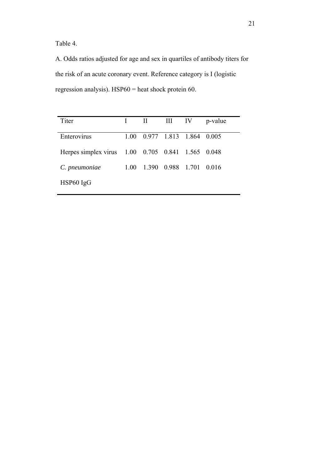Table 4.

A. Odds ratios adjusted for age and sex in quartiles of antibody titers for the risk of an acute coronary event. Reference category is I (logistic regression analysis). HSP60 = heat shock protein 60.

| Titer                                             |      | $\mathbf{I}$                 | III IV            | p-value |
|---------------------------------------------------|------|------------------------------|-------------------|---------|
| Enterovirus                                       |      | 1.00 0.977 1.813 1.864 0.005 |                   |         |
| Herpes simplex virus 1.00 0.705 0.841 1.565 0.048 |      |                              |                   |         |
| C. pneumoniae                                     | 1.00 |                              | 1.390 0.988 1.701 | 0.016   |
| $HSP60$ IgG                                       |      |                              |                   |         |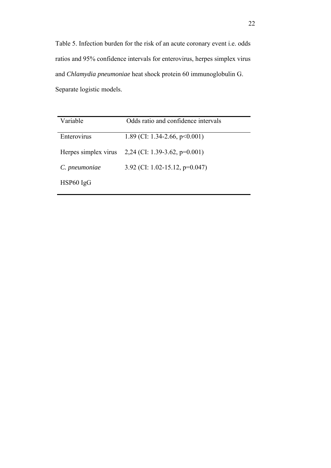Table 5. Infection burden for the risk of an acute coronary event i.e. odds ratios and 95% confidence intervals for enterovirus, herpes simplex virus and *Chlamydia pneumoniae* heat shock protein 60 immunoglobulin G. Separate logistic models.

| Variable             | Odds ratio and confidence intervals |
|----------------------|-------------------------------------|
| Enterovirus          | 1.89 (CI: 1.34-2.66, $p<0.001$ )    |
| Herpes simplex virus | 2,24 (CI: 1.39-3.62, $p=0.001$ )    |
| C. pneumoniae        | 3.92 (CI: 1.02-15.12, $p=0.047$ )   |
| HSP60 IgG            |                                     |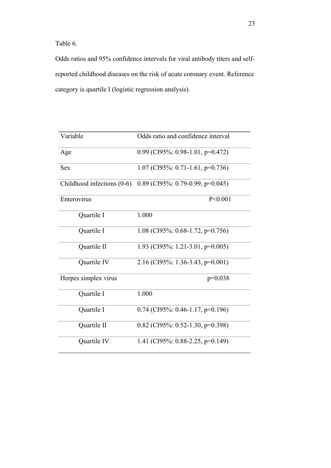Table 6.

Odds ratios and 95% confidence intervals for viral antibody titers and selfreported childhood diseases on the risk of acute coronary event. Reference category is quartile I (logistic regression analysis).

| Variable                     | Odds ratio and confidence interval |
|------------------------------|------------------------------------|
| Age                          | 0.99 (CI95%: 0.98-1.01, p=0.472)   |
| <b>Sex</b>                   | 1.07 (CI95%: 0.71-1.61, p=0.736)   |
| Childhood infections $(0-6)$ | $0.89$ (CI95%: 0.79-0.99, p=0.045) |
| Enterovirus                  | P < 0.001                          |
| Quartile I                   | 1.000                              |
| Quartile I                   | 1.08 (CI95%: 0.68-1.72, p=0.756)   |
| Quartile II                  | 1.93 (CI95%: 1.21-3.01, p=0.005)   |
| Quartile IV                  | 2.16 (CI95%: 1.36-3.43, p=0.001)   |
| Herpes simplex virus         | $p=0.038$                          |
| Quartile I                   | 1.000                              |
| Quartile I                   | $0.74$ (CI95%: 0.46-1.17, p=0.196) |
| Quartile II                  | 0.82 (CI95%: 0.52-1.30, p=0.398)   |
| Quartile IV                  | 1.41 (CI95%: 0.88-2.25, p=0.149)   |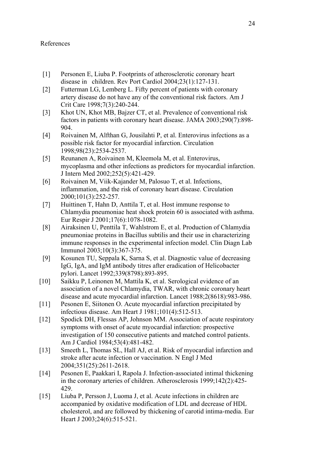# References

- [1] Personen E, Liuba P. Footprints of atherosclerotic coronary heart disease in children. Rev Port Cardiol 2004;23(1):127-131.
- [2] Futterman LG, Lemberg L. Fifty percent of patients with coronary artery disease do not have any of the conventional risk factors. Am J Crit Care 1998;7(3):240-244.
- [3] Khot UN, Khot MB, Bajzer CT, et al. Prevalence of conventional risk factors in patients with coronary heart disease. JAMA 2003;290(7):898- 904.
- [4] Roivainen M, Alfthan G, Jousilahti P, et al. Enterovirus infections as a possible risk factor for myocardial infarction. Circulation 1998;98(23):2534-2537.
- [5] Reunanen A, Roivainen M, Kleemola M, et al. Enterovirus, mycoplasma and other infections as predictors for myocardial infarction. J Intern Med 2002;252(5):421-429.
- [6] Roivainen M, Viik-Kajander M, Palosuo T, et al. Infections, inflammation, and the risk of coronary heart disease. Circulation 2000;101(3):252-257.
- [7] Huittinen T, Hahn D, Anttila T, et al. Host immune response to Chlamydia pneumoniae heat shock protein 60 is associated with asthma. Eur Respir J 2001;17(6):1078-1082.
- [8] Airaksinen U, Penttila T, Wahlstrom E, et al. Production of Chlamydia pneumoniae proteins in Bacillus subtilis and their use in characterizing immune responses in the experimental infection model. Clin Diagn Lab Immunol 2003;10(3):367-375.
- [9] Kosunen TU, Seppala K, Sarna S, et al. Diagnostic value of decreasing IgG, IgA, and IgM antibody titres after eradication of Helicobacter pylori. Lancet 1992;339(8798):893-895.
- [10] Saikku P, Leinonen M, Mattila K, et al. Serological evidence of an association of a novel Chlamydia, TWAR, with chronic coronary heart disease and acute myocardial infarction. Lancet 1988;2(8618):983-986.
- [11] Pesonen E, Siitonen O. Acute myocardial infarction precipitated by infectious disease. Am Heart J 1981;101(4):512-513.
- [12] Spodick DH, Flessas AP, Johnson MM. Association of acute respiratory symptoms with onset of acute myocardial infarction: prospective investigation of 150 consecutive patients and matched control patients. Am J Cardiol 1984;53(4):481-482.
- [13] Smeeth L, Thomas SL, Hall AJ, et al. Risk of myocardial infarction and stroke after acute infection or vaccination. N Engl J Med 2004;351(25):2611-2618.
- [14] Pesonen E, Paakkari I, Rapola J. Infection-associated intimal thickening in the coronary arteries of children. Atherosclerosis 1999;142(2):425- 429.
- [15] Liuba P, Persson J, Luoma J, et al. Acute infections in children are accompanied by oxidative modification of LDL and decrease of HDL cholesterol, and are followed by thickening of carotid intima-media. Eur Heart J 2003;24(6):515-521.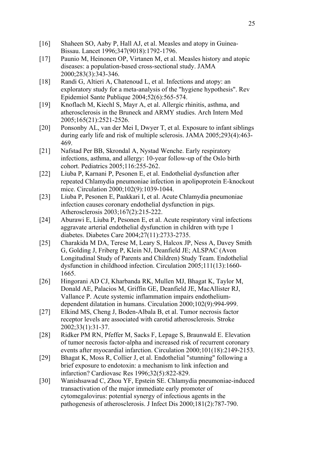- [16] Shaheen SO, Aaby P, Hall AJ, et al. Measles and atopy in Guinea-Bissau. Lancet 1996;347(9018):1792-1796.
- [17] Paunio M, Heinonen OP, Virtanen M, et al. Measles history and atopic diseases: a population-based cross-sectional study. JAMA 2000;283(3):343-346.
- [18] Randi G, Altieri A, Chatenoud L, et al. Infections and atopy: an exploratory study for a meta-analysis of the "hygiene hypothesis". Rev Epidemiol Sante Publique 2004;52(6):565-574.
- [19] Knoflach M, Kiechl S, Mayr A, et al. Allergic rhinitis, asthma, and atherosclerosis in the Bruneck and ARMY studies. Arch Intern Med 2005;165(21):2521-2526.
- [20] Ponsonby AL, van der Mei I, Dwyer T, et al. Exposure to infant siblings during early life and risk of multiple sclerosis. JAMA 2005;293(4):463- 469.
- [21] Nafstad Per BB, Skrondal A, Nystad Wenche. Early respiratory infections, asthma, and allergy: 10-year follow-up of the Oslo birth cohort. Pediatrics 2005;116:255-262.
- [22] Liuba P, Karnani P, Pesonen E, et al. Endothelial dysfunction after repeated Chlamydia pneumoniae infection in apolipoprotein E-knockout mice. Circulation 2000;102(9):1039-1044.
- [23] Liuba P, Pesonen E, Paakkari I, et al. Acute Chlamydia pneumoniae infection causes coronary endothelial dysfunction in pigs. Atherosclerosis 2003;167(2):215-222.
- [24] Aburawi E, Liuba P, Pesonen E, et al. Acute respiratory viral infections aggravate arterial endothelial dysfunction in children with type 1 diabetes. Diabetes Care 2004;27(11):2733-2735.
- [25] Charakida M DA, Terese M, Leary S, Halcox JP, Ness A, Davey Smith G, Golding J, Friberg P, Klein NJ, Deanfield JE; ALSPAC (Avon Longitudinal Study of Parents and Children) Study Team. Endothelial dysfunction in childhood infection. Circulation 2005;111(13):1660- 1665.
- [26] Hingorani AD CJ, Kharbanda RK, Mullen MJ, Bhagat K, Taylor M, Donald AE, Palacios M, Griffin GE, Deanfield JE, MacAllister RJ, Vallance P. Acute systemic inflammation impairs endotheliumdependent dilatation in humans. Circulation 2000;102(9):994-999.
- [27] Elkind MS, Cheng J, Boden-Albala B, et al. Tumor necrosis factor receptor levels are associated with carotid atherosclerosis. Stroke 2002;33(1):31-37.
- [28] Ridker PM RN, Pfeffer M, Sacks F, Lepage S, Braunwald E. Elevation of tumor necrosis factor-alpha and increased risk of recurrent coronary events after myocardial infarction. Circulation 2000;101(18):2149-2153.
- [29] Bhagat K, Moss R, Collier J, et al. Endothelial "stunning" following a brief exposure to endotoxin: a mechanism to link infection and infarction? Cardiovasc Res 1996;32(5):822-829.
- [30] Wanishsawad C, Zhou YF, Epstein SE. Chlamydia pneumoniae-induced transactivation of the major immediate early promoter of cytomegalovirus: potential synergy of infectious agents in the pathogenesis of atherosclerosis. J Infect Dis 2000;181(2):787-790.